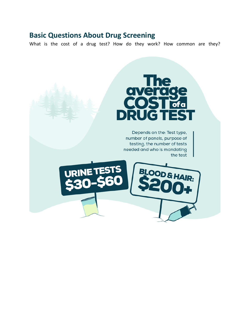## **Basic Questions About Drug Screening**

What is the cost of a drug test? How do they work? How common are they?

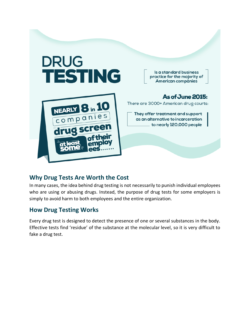

## **Why Drug Tests Are Worth the Cost**

In many cases, the idea behind drug testing is not necessarily to punish individual employees who are using or abusing drugs. Instead, the purpose of drug tests for some employers is simply to avoid harm to both employees and the entire organization.

## **How Drug Testing Works**

Every drug test is designed to detect the presence of one or several substances in the body. Effective tests find 'residue' of the substance at the molecular level, so it is very difficult to fake a drug test.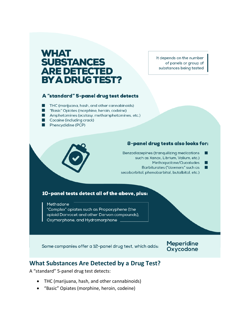# **WHAT SUBSTANCES ARE DETECTED BY A DRUG TEST?**

It depends on the number of panels or group of substances being tested

#### A "standard" 5-panel drug test detects

- THC (marijuana, hash, and other cannabinoids)
- "Basic" Opiates (morphine, heroin, codeine)
- Amphetamines (ecstasy, methamphetamines, etc.)
- Cocaine (including crack)
- Phencyclidine (PCP)

#### 8-panel drug tests also looks for:

- Benzodiazepines (tranquilizing medications such as Xanax, Librium, Valium, etc.)
	- Methaqualone/Quaaludes

Barbiturates ("downers" such as secobarbital, phenobarbital, butalbital, etc.)

#### 10-panel tests detect all of the above, plus:

Methadone

"Complex" opiates such as Propoxyphene (the opioid Darvocet and other Darvon compounds), Oxymorphone, and Hydromorphone.

Some companies offer a 12-panel drug test, which adds:

**Meperidine** Oxycodone

### **What Substances Are Detected by a Drug Test?**

A "standard" 5-panel drug test detects:

- THC (marijuana, hash, and other cannabinoids)
- "Basic" Opiates (morphine, heroin, codeine)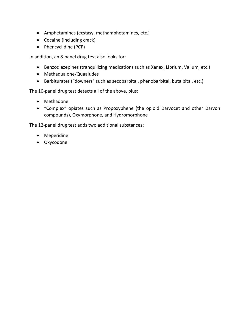- Amphetamines (ecstasy, [methamphetamines,](https://www.northpointrecovery.com/blog/facts-need-know-methamphetamines/) etc.)
- [Cocaine](https://www.northpointrecovery.com/drug-information/cocaine-addiction.php) (including crack)
- Phencyclidine (PCP)

In addition, an 8-panel drug test also looks for:

- [Benzodiazepines](https://www.northpointrecovery.com/drug-information/benzodiazepine-addiction.php) (tranquilizing medications such as Xanax, Librium, Valium, etc.)
- Methaqualone/Quaaludes
- [Barbiturates](https://www.northpointrecovery.com/drug-information/barbiturates-addiction.php) ("downers" such as secobarbital, phenobarbital, butalbital, etc.)

The 10-panel drug test detects all of the above, plus:

- [Methadone](https://www.northpointrecovery.com/drug-information/methadone-addiction.php)
- "Complex" opiates such as Propoxyphene (the opioid Darvocet and other Darvon compounds), Oxymorphone, and Hydromorphone

The 12-panel drug test adds two additional substances:

- Meperidine
- Oxycodone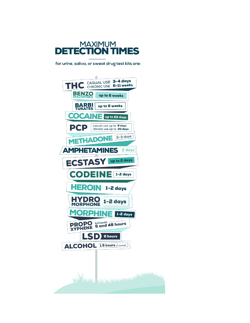

for urine, saliva, or sweat drug test kits are:

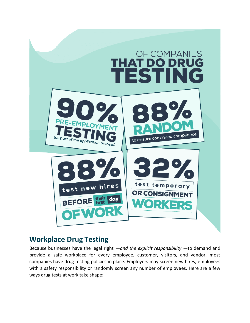

## **Workplace Drug Testing**

Because businesses have the legal right —*and the explicit responsibility* —to demand and provide a safe workplace for every employee, customer, visitors, and vendor, most companies have drug testing policies in place. Employers may screen new hires, employees with a safety responsibility or randomly screen any number of employees. Here are a few ways drug tests at work take shape: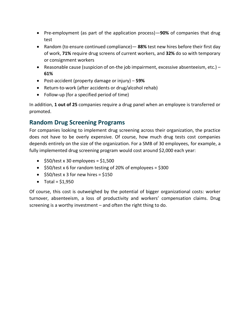- Pre-employment (as part of the application process)—**90%** of companies that drug test
- Random (to ensure continued compliance)— **88%** test new hires before their first day of work, **71%** require drug screens of current workers, and **32%** do so with temporary or consignment workers
- Reasonable cause (suspicion of on-the job impairment, excessive absenteeism, etc.) **61%**
- Post-accident (property damage or injury) **59%**
- Return-to-work (after accidents or drug/alcohol rehab)
- Follow-up (for a specified period of time)

In addition, **1 out of 25** companies require a drug panel when an employee is transferred or promoted.

## **Random Drug Screening Programs**

For companies looking to implement drug screening across their organization, the practice does not have to be overly expensive. Of course, how much drug tests cost companies depends entirely on the size of the organization. For a SMB of 30 employees, for example, a fully implemented drug screening program would cost around \$2,000 each year:

- $\bullet$  \$50/test x 30 employees = \$1,500
- $\bullet$  \$50/test x 6 for random testing of 20% of employees = \$300
- $\bullet$  \$50/test x 3 for new hires = \$150
- Total =  $$1,950$

Of course, this cost is outweighed by the potential of bigger organizational costs: worker turnover, absenteeism, a loss of productivity and workers' compensation claims. Drug screening is a worthy investment – and often the right thing to do.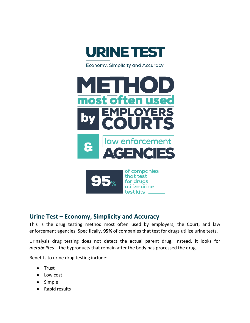

Economy, Simplicity and Accuracy



## **Urine Test – Economy, Simplicity and Accuracy**

This is the drug testing method most often used by employers, the Court, and law enforcement agencies. Specifically, **95%** of companies that test for drugs utilize urine tests.

Urinalysis drug testing does not detect the actual parent drug. Instead, it looks for *metabolites* – the byproducts that remain after the body has processed the drug.

Benefits to urine drug testing include:

- Trust
- Low cost
- Simple
- Rapid results